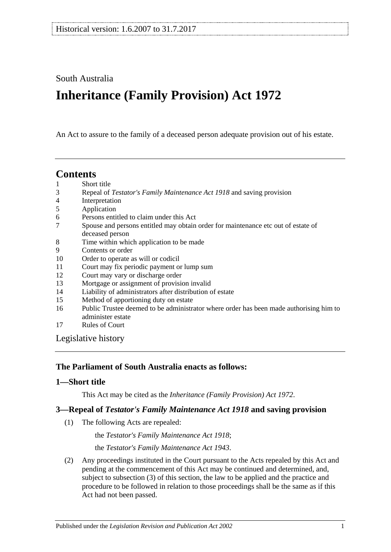# South Australia

# **Inheritance (Family Provision) Act 1972**

An Act to assure to the family of a deceased person adequate provision out of his estate.

# **Contents**

- 1 [Short title](#page-0-0)
- 3 Repeal of *[Testator's Family Maintenance Act](#page-0-1) 1918* and saving provision
- 4 [Interpretation](#page-1-0)
- 5 [Application](#page-1-1)
- 6 [Persons entitled to claim under this Act](#page-1-2)
- 7 [Spouse and persons entitled may obtain order for maintenance etc out of estate of](#page-2-0)  [deceased person](#page-2-0)
- 8 [Time within which application to be made](#page-2-1)
- 9 [Contents or order](#page-3-0)
- 10 [Order to operate as will or codicil](#page-4-0)
- 11 [Court may fix periodic payment or lump sum](#page-4-1)
- 12 [Court may vary or discharge order](#page-4-2)
- 13 [Mortgage or assignment of provision invalid](#page-4-3)
- 14 [Liability of administrators after distribution of estate](#page-4-4)
- 15 [Method of apportioning duty on estate](#page-5-0)
- 16 [Public Trustee deemed to be administrator where order has been made authorising him to](#page-5-1)  [administer estate](#page-5-1)
- 17 [Rules of Court](#page-5-2)

[Legislative history](#page-6-0)

#### **The Parliament of South Australia enacts as follows:**

#### <span id="page-0-0"></span>**1—Short title**

This Act may be cited as the *Inheritance (Family Provision) Act 1972*.

# <span id="page-0-1"></span>**3—Repeal of** *Testator's Family Maintenance Act 1918* **and saving provision**

(1) The following Acts are repealed:

the *[Testator's Family Maintenance Act](http://www.legislation.sa.gov.au/index.aspx?action=legref&type=act&legtitle=Testators%20Family%20Maintenance%20Act%201918) 1918*;

the *[Testator's Family Maintenance Act](http://www.legislation.sa.gov.au/index.aspx?action=legref&type=act&legtitle=Testators%20Family%20Maintenance%20Act%201943) 1943*.

(2) Any proceedings instituted in the Court pursuant to the Acts repealed by this Act and pending at the commencement of this Act may be continued and determined, and, subject to [subsection](#page-1-3) (3) of this section, the law to be applied and the practice and procedure to be followed in relation to those proceedings shall be the same as if this Act had not been passed.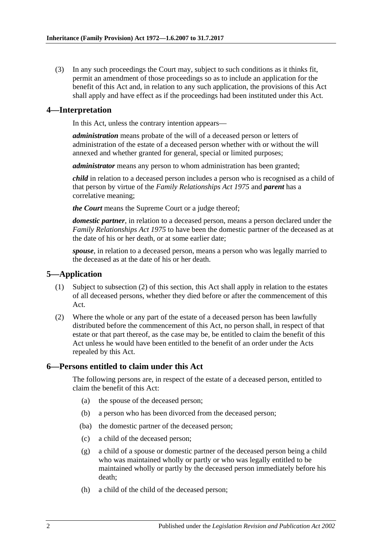<span id="page-1-3"></span>(3) In any such proceedings the Court may, subject to such conditions as it thinks fit, permit an amendment of those proceedings so as to include an application for the benefit of this Act and, in relation to any such application, the provisions of this Act shall apply and have effect as if the proceedings had been instituted under this Act.

#### <span id="page-1-0"></span>**4—Interpretation**

In this Act, unless the contrary intention appears—

*administration* means probate of the will of a deceased person or letters of administration of the estate of a deceased person whether with or without the will annexed and whether granted for general, special or limited purposes;

*administrator* means any person to whom administration has been granted;

*child* in relation to a deceased person includes a person who is recognised as a child of that person by virtue of the *[Family Relationships Act](http://www.legislation.sa.gov.au/index.aspx?action=legref&type=act&legtitle=Family%20Relationships%20Act%201975) 1975* and *parent* has a correlative meaning;

*the Court* means the Supreme Court or a judge thereof;

*domestic partner*, in relation to a deceased person, means a person declared under the *[Family Relationships Act](http://www.legislation.sa.gov.au/index.aspx?action=legref&type=act&legtitle=Family%20Relationships%20Act%201975) 1975* to have been the domestic partner of the deceased as at the date of his or her death, or at some earlier date;

*spouse*, in relation to a deceased person, means a person who was legally married to the deceased as at the date of his or her death.

#### <span id="page-1-1"></span>**5—Application**

- (1) Subject to [subsection](#page-1-4) (2) of this section, this Act shall apply in relation to the estates of all deceased persons, whether they died before or after the commencement of this Act.
- <span id="page-1-4"></span>(2) Where the whole or any part of the estate of a deceased person has been lawfully distributed before the commencement of this Act, no person shall, in respect of that estate or that part thereof, as the case may be, be entitled to claim the benefit of this Act unless he would have been entitled to the benefit of an order under the Acts repealed by this Act.

#### <span id="page-1-2"></span>**6—Persons entitled to claim under this Act**

The following persons are, in respect of the estate of a deceased person, entitled to claim the benefit of this Act:

- (a) the spouse of the deceased person;
- (b) a person who has been divorced from the deceased person;
- (ba) the domestic partner of the deceased person;
- (c) a child of the deceased person;
- (g) a child of a spouse or domestic partner of the deceased person being a child who was maintained wholly or partly or who was legally entitled to be maintained wholly or partly by the deceased person immediately before his death;
- (h) a child of the child of the deceased person;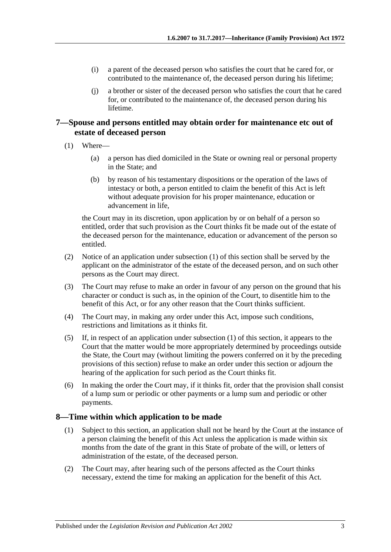- (i) a parent of the deceased person who satisfies the court that he cared for, or contributed to the maintenance of, the deceased person during his lifetime;
- (j) a brother or sister of the deceased person who satisfies the court that he cared for, or contributed to the maintenance of, the deceased person during his lifetime.

### <span id="page-2-0"></span>**7—Spouse and persons entitled may obtain order for maintenance etc out of estate of deceased person**

- <span id="page-2-2"></span>(1) Where—
	- (a) a person has died domiciled in the State or owning real or personal property in the State; and
	- (b) by reason of his testamentary dispositions or the operation of the laws of intestacy or both, a person entitled to claim the benefit of this Act is left without adequate provision for his proper maintenance, education or advancement in life,

the Court may in its discretion, upon application by or on behalf of a person so entitled, order that such provision as the Court thinks fit be made out of the estate of the deceased person for the maintenance, education or advancement of the person so entitled.

- (2) Notice of an application under [subsection](#page-2-2) (1) of this section shall be served by the applicant on the administrator of the estate of the deceased person, and on such other persons as the Court may direct.
- (3) The Court may refuse to make an order in favour of any person on the ground that his character or conduct is such as, in the opinion of the Court, to disentitle him to the benefit of this Act, or for any other reason that the Court thinks sufficient.
- (4) The Court may, in making any order under this Act, impose such conditions, restrictions and limitations as it thinks fit.
- (5) If, in respect of an application under [subsection](#page-2-2) (1) of this section, it appears to the Court that the matter would be more appropriately determined by proceedings outside the State, the Court may (without limiting the powers conferred on it by the preceding provisions of this section) refuse to make an order under this section or adjourn the hearing of the application for such period as the Court thinks fit.
- (6) In making the order the Court may, if it thinks fit, order that the provision shall consist of a lump sum or periodic or other payments or a lump sum and periodic or other payments.

#### <span id="page-2-3"></span><span id="page-2-1"></span>**8—Time within which application to be made**

- (1) Subject to this section, an application shall not be heard by the Court at the instance of a person claiming the benefit of this Act unless the application is made within six months from the date of the grant in this State of probate of the will, or letters of administration of the estate, of the deceased person.
- (2) The Court may, after hearing such of the persons affected as the Court thinks necessary, extend the time for making an application for the benefit of this Act.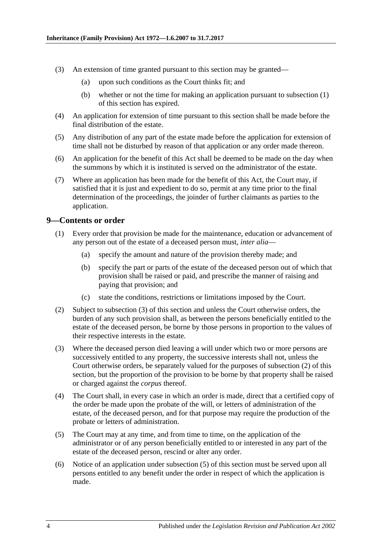- (3) An extension of time granted pursuant to this section may be granted—
	- (a) upon such conditions as the Court thinks fit; and
	- (b) whether or not the time for making an application pursuant to [subsection](#page-2-3) (1) of this section has expired.
- (4) An application for extension of time pursuant to this section shall be made before the final distribution of the estate.
- (5) Any distribution of any part of the estate made before the application for extension of time shall not be disturbed by reason of that application or any order made thereon.
- (6) An application for the benefit of this Act shall be deemed to be made on the day when the summons by which it is instituted is served on the administrator of the estate.
- (7) Where an application has been made for the benefit of this Act, the Court may, if satisfied that it is just and expedient to do so, permit at any time prior to the final determination of the proceedings, the joinder of further claimants as parties to the application.

#### <span id="page-3-0"></span>**9—Contents or order**

- (1) Every order that provision be made for the maintenance, education or advancement of any person out of the estate of a deceased person must, *inter alia*—
	- (a) specify the amount and nature of the provision thereby made; and
	- (b) specify the part or parts of the estate of the deceased person out of which that provision shall be raised or paid, and prescribe the manner of raising and paying that provision; and
	- (c) state the conditions, restrictions or limitations imposed by the Court.
- <span id="page-3-2"></span>(2) Subject to [subsection](#page-3-1) (3) of this section and unless the Court otherwise orders, the burden of any such provision shall, as between the persons beneficially entitled to the estate of the deceased person, be borne by those persons in proportion to the values of their respective interests in the estate.
- <span id="page-3-1"></span>(3) Where the deceased person died leaving a will under which two or more persons are successively entitled to any property, the successive interests shall not, unless the Court otherwise orders, be separately valued for the purposes of [subsection](#page-3-2) (2) of this section, but the proportion of the provision to be borne by that property shall be raised or charged against the *corpus* thereof.
- (4) The Court shall, in every case in which an order is made, direct that a certified copy of the order be made upon the probate of the will, or letters of administration of the estate, of the deceased person, and for that purpose may require the production of the probate or letters of administration.
- <span id="page-3-3"></span>(5) The Court may at any time, and from time to time, on the application of the administrator or of any person beneficially entitled to or interested in any part of the estate of the deceased person, rescind or alter any order.
- (6) Notice of an application under [subsection](#page-3-3) (5) of this section must be served upon all persons entitled to any benefit under the order in respect of which the application is made.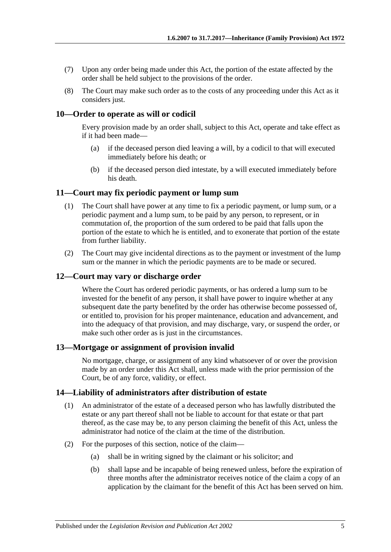- (7) Upon any order being made under this Act, the portion of the estate affected by the order shall be held subject to the provisions of the order.
- (8) The Court may make such order as to the costs of any proceeding under this Act as it considers just.

### <span id="page-4-0"></span>**10—Order to operate as will or codicil**

Every provision made by an order shall, subject to this Act, operate and take effect as if it had been made—

- (a) if the deceased person died leaving a will, by a codicil to that will executed immediately before his death; or
- (b) if the deceased person died intestate, by a will executed immediately before his death.

#### <span id="page-4-1"></span>**11—Court may fix periodic payment or lump sum**

- (1) The Court shall have power at any time to fix a periodic payment, or lump sum, or a periodic payment and a lump sum, to be paid by any person, to represent, or in commutation of, the proportion of the sum ordered to be paid that falls upon the portion of the estate to which he is entitled, and to exonerate that portion of the estate from further liability.
- (2) The Court may give incidental directions as to the payment or investment of the lump sum or the manner in which the periodic payments are to be made or secured.

#### <span id="page-4-2"></span>**12—Court may vary or discharge order**

Where the Court has ordered periodic payments, or has ordered a lump sum to be invested for the benefit of any person, it shall have power to inquire whether at any subsequent date the party benefited by the order has otherwise become possessed of, or entitled to, provision for his proper maintenance, education and advancement, and into the adequacy of that provision, and may discharge, vary, or suspend the order, or make such other order as is just in the circumstances.

#### <span id="page-4-3"></span>**13—Mortgage or assignment of provision invalid**

No mortgage, charge, or assignment of any kind whatsoever of or over the provision made by an order under this Act shall, unless made with the prior permission of the Court, be of any force, validity, or effect.

#### <span id="page-4-5"></span><span id="page-4-4"></span>**14—Liability of administrators after distribution of estate**

- (1) An administrator of the estate of a deceased person who has lawfully distributed the estate or any part thereof shall not be liable to account for that estate or that part thereof, as the case may be, to any person claiming the benefit of this Act, unless the administrator had notice of the claim at the time of the distribution.
- (2) For the purposes of this section, notice of the claim—
	- (a) shall be in writing signed by the claimant or his solicitor; and
	- (b) shall lapse and be incapable of being renewed unless, before the expiration of three months after the administrator receives notice of the claim a copy of an application by the claimant for the benefit of this Act has been served on him.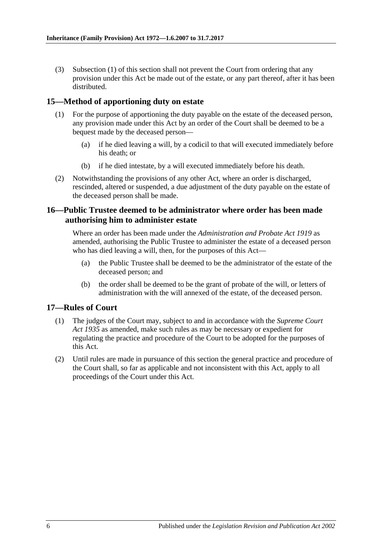(3) [Subsection](#page-4-5) (1) of this section shall not prevent the Court from ordering that any provision under this Act be made out of the estate, or any part thereof, after it has been distributed.

#### <span id="page-5-0"></span>**15—Method of apportioning duty on estate**

- (1) For the purpose of apportioning the duty payable on the estate of the deceased person, any provision made under this Act by an order of the Court shall be deemed to be a bequest made by the deceased person—
	- (a) if he died leaving a will, by a codicil to that will executed immediately before his death; or
	- (b) if he died intestate, by a will executed immediately before his death.
- (2) Notwithstanding the provisions of any other Act, where an order is discharged, rescinded, altered or suspended, a due adjustment of the duty payable on the estate of the deceased person shall be made.

#### <span id="page-5-1"></span>**16—Public Trustee deemed to be administrator where order has been made authorising him to administer estate**

Where an order has been made under the *[Administration and Probate Act](http://www.legislation.sa.gov.au/index.aspx?action=legref&type=act&legtitle=Administration%20and%20Probate%20Act%201919) 1919* as amended, authorising the Public Trustee to administer the estate of a deceased person who has died leaving a will, then, for the purposes of this Act—

- (a) the Public Trustee shall be deemed to be the administrator of the estate of the deceased person; and
- (b) the order shall be deemed to be the grant of probate of the will, or letters of administration with the will annexed of the estate, of the deceased person.

#### <span id="page-5-2"></span>**17—Rules of Court**

- (1) The judges of the Court may, subject to and in accordance with the *[Supreme Court](http://www.legislation.sa.gov.au/index.aspx?action=legref&type=act&legtitle=Supreme%20Court%20Act%201935)  Act [1935](http://www.legislation.sa.gov.au/index.aspx?action=legref&type=act&legtitle=Supreme%20Court%20Act%201935)* as amended, make such rules as may be necessary or expedient for regulating the practice and procedure of the Court to be adopted for the purposes of this Act.
- (2) Until rules are made in pursuance of this section the general practice and procedure of the Court shall, so far as applicable and not inconsistent with this Act, apply to all proceedings of the Court under this Act.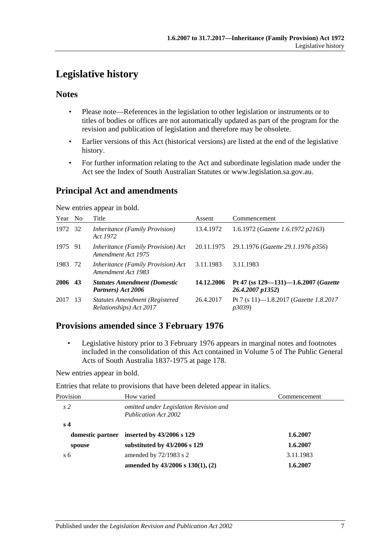# <span id="page-6-0"></span>**Legislative history**

#### **Notes**

- Please note—References in the legislation to other legislation or instruments or to titles of bodies or offices are not automatically updated as part of the program for the revision and publication of legislation and therefore may be obsolete.
- Earlier versions of this Act (historical versions) are listed at the end of the legislative history.
- For further information relating to the Act and subordinate legislation made under the Act see the Index of South Australian Statutes or www.legislation.sa.gov.au.

# **Principal Act and amendments**

New entries appear in bold.

| Year    | N <sub>o</sub> | Title                                                             | Assent     | Commencement                                                   |
|---------|----------------|-------------------------------------------------------------------|------------|----------------------------------------------------------------|
| 1972    | -32            | <i>Inheritance (Family Provision)</i><br>Act 1972                 | 13.4.1972  | 1.6.1972 (Gazette 1.6.1972 p2163)                              |
| 1975 91 |                | <i>Inheritance (Family Provision) Act</i><br>Amendment Act 1975   | 20.11.1975 | 29.1.1976 (Gazette 29.1.1976 p356)                             |
| 1983    | 72             | Inheritance (Family Provision) Act<br>Amendment Act 1983          | 3.11.1983  | 3.11.1983                                                      |
| 2006 43 |                | <b>Statutes Amendment (Domestic</b><br>Partners) Act 2006         | 14.12.2006 | Pt 47 (ss $129 - 131$ ) -1.6.2007 (Gazette<br>26.4.2007 p1352) |
| 2017    | -13            | <b>Statutes Amendment (Registered)</b><br>Relationships) Act 2017 | 26.4.2017  | Pt 7 (s 11)-1.8.2017 (Gazette 1.8.2017<br><i>p</i> 3039)       |

# **Provisions amended since 3 February 1976**

• Legislative history prior to 3 February 1976 appears in marginal notes and footnotes included in the consolidation of this Act contained in Volume 5 of The Public General Acts of South Australia 1837-1975 at page 178.

New entries appear in bold.

Entries that relate to provisions that have been deleted appear in italics.

| Provision      | How varied                                                            | Commencement |
|----------------|-----------------------------------------------------------------------|--------------|
| s <sub>2</sub> | omitted under Legislation Revision and<br><b>Publication Act 2002</b> |              |
| s <sub>4</sub> |                                                                       |              |
|                | domestic partner inserted by $43/2006$ s 129                          | 1.6.2007     |
| spouse         | substituted by $43/2006$ s 129                                        | 1.6.2007     |
| s <sub>6</sub> | amended by $72/1983$ s 2                                              | 3.11.1983    |
|                | amended by $43/2006$ s $130(1)$ , (2)                                 | 1.6.2007     |